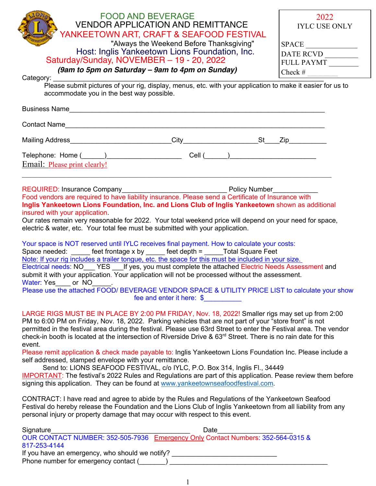| <b>FOOD AND BEVERAGE</b><br><b>VENDOR APPLICATION AND REMITTANCE</b>                                                                                                                                                                                                                                                                                                                                                                                                                                                                                                                                                                                                                                                                                                                                                                                                                                                                     | 2022<br><b>IYLC USE ONLY</b>                           |  |  |  |  |  |  |
|------------------------------------------------------------------------------------------------------------------------------------------------------------------------------------------------------------------------------------------------------------------------------------------------------------------------------------------------------------------------------------------------------------------------------------------------------------------------------------------------------------------------------------------------------------------------------------------------------------------------------------------------------------------------------------------------------------------------------------------------------------------------------------------------------------------------------------------------------------------------------------------------------------------------------------------|--------------------------------------------------------|--|--|--|--|--|--|
| YANKEETOWN ART, CRAFT & SEAFOOD FESTIVAL<br>"Always the Weekend Before Thanksgiving"                                                                                                                                                                                                                                                                                                                                                                                                                                                                                                                                                                                                                                                                                                                                                                                                                                                     |                                                        |  |  |  |  |  |  |
| Host: Inglis Yankeetown Lions Foundation, Inc.                                                                                                                                                                                                                                                                                                                                                                                                                                                                                                                                                                                                                                                                                                                                                                                                                                                                                           | $\text{SPACE} \underline{\hspace{2.5cm}}$<br>DATE RCVD |  |  |  |  |  |  |
| Saturday/Sunday, NOVEMBER - 19 - 20, 2022                                                                                                                                                                                                                                                                                                                                                                                                                                                                                                                                                                                                                                                                                                                                                                                                                                                                                                | <b>FULL PAYMT</b>                                      |  |  |  |  |  |  |
| (9am to 5pm on Saturday - 9am to 4pm on Sunday)                                                                                                                                                                                                                                                                                                                                                                                                                                                                                                                                                                                                                                                                                                                                                                                                                                                                                          |                                                        |  |  |  |  |  |  |
| Please submit pictures of your rig, display, menus, etc. with your application to make it easier for us to<br>accommodate you in the best way possible.                                                                                                                                                                                                                                                                                                                                                                                                                                                                                                                                                                                                                                                                                                                                                                                  |                                                        |  |  |  |  |  |  |
|                                                                                                                                                                                                                                                                                                                                                                                                                                                                                                                                                                                                                                                                                                                                                                                                                                                                                                                                          |                                                        |  |  |  |  |  |  |
|                                                                                                                                                                                                                                                                                                                                                                                                                                                                                                                                                                                                                                                                                                                                                                                                                                                                                                                                          |                                                        |  |  |  |  |  |  |
|                                                                                                                                                                                                                                                                                                                                                                                                                                                                                                                                                                                                                                                                                                                                                                                                                                                                                                                                          |                                                        |  |  |  |  |  |  |
| Telephone: Home (_____)_____________________________Cell (_____)_________________                                                                                                                                                                                                                                                                                                                                                                                                                                                                                                                                                                                                                                                                                                                                                                                                                                                        |                                                        |  |  |  |  |  |  |
| Email: Please print clearly!                                                                                                                                                                                                                                                                                                                                                                                                                                                                                                                                                                                                                                                                                                                                                                                                                                                                                                             |                                                        |  |  |  |  |  |  |
| Food vendors are required to have liability insurance. Please send a Certificate of Insurance with<br>Inglis Yankeetown Lions Foundation, Inc. and Lions Club of Inglis Yankeetown shown as additional<br>insured with your application.<br>Our rates remain very reasonable for 2022. Your total weekend price will depend on your need for space,<br>electric & water, etc. Your total fee must be submitted with your application.                                                                                                                                                                                                                                                                                                                                                                                                                                                                                                    |                                                        |  |  |  |  |  |  |
| Your space is NOT reserved until IYLC receives final payment. How to calculate your costs:<br>Space needed: _____ feet frontage x by _____ feet depth = _____Total Square Feet<br>Note: If your rig includes a trailer tongue, etc. the space for this must be included in your size.<br>Electrical needs: NO YES If yes, you must complete the attached Electric Needs Assessment and<br>submit it with your application. Your application will not be processed without the assessment.<br>Water: Yes or NO<br>Please use the attached FOOD/ BEVERAGE VENDOR SPACE & UTILITY PRICE LIST to calculate your show<br>fee and enter it here: $\$$                                                                                                                                                                                                                                                                                          |                                                        |  |  |  |  |  |  |
| LARGE RIGS MUST BE IN PLACE BY 2:00 PM FRIDAY, Nov. 18, 2022! Smaller rigs may set up from 2:00<br>PM to 6:00 PM on Friday, Nov. 18, 2022. Parking vehicles that are not part of your "store front" is not<br>permitted in the festival area during the festival. Please use 63rd Street to enter the Festival area. The vendor<br>check-in booth is located at the intersection of Riverside Drive & 63 <sup>rd</sup> Street. There is no rain date for this<br>event.<br>Please remit application & check made payable to: Inglis Yankeetown Lions Foundation Inc. Please include a<br>self addressed, stamped envelope with your remittance.<br>Send to: LIONS SEAFOOD FESTIVAL, c/o IYLC, P.O. Box 314, Inglis Fl., 34449<br><b>IMPORTANT:</b> The festival's 2022 Rules and Regulations are part of this application. Pease review them before<br>signing this application. They can be found at www.yankeetownseafoodfestival.com. |                                                        |  |  |  |  |  |  |
| CONTRACT: I have read and agree to abide by the Rules and Regulations of the Yankeetown Seafood<br>Festival do hereby release the Foundation and the Lions Club of Inglis Yankeetown from all liability from any<br>personal injury or property damage that may occur with respect to this event.                                                                                                                                                                                                                                                                                                                                                                                                                                                                                                                                                                                                                                        |                                                        |  |  |  |  |  |  |
| Signature<br>Date                                                                                                                                                                                                                                                                                                                                                                                                                                                                                                                                                                                                                                                                                                                                                                                                                                                                                                                        |                                                        |  |  |  |  |  |  |
| 817-253-4144                                                                                                                                                                                                                                                                                                                                                                                                                                                                                                                                                                                                                                                                                                                                                                                                                                                                                                                             |                                                        |  |  |  |  |  |  |
| If you have an emergency, who should we notify? ________________________________<br>Phone number for emergency contact (                                                                                                                                                                                                                                                                                                                                                                                                                                                                                                                                                                                                                                                                                                                                                                                                                 |                                                        |  |  |  |  |  |  |

1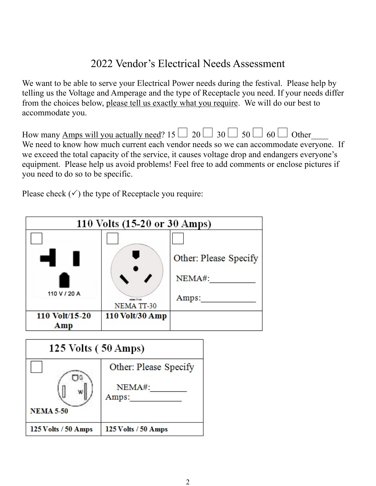### 2022 Vendor's Electrical Needs Assessment

We want to be able to serve your Electrical Power needs during the festival. Please help by telling us the Voltage and Amperage and the type of Receptacle you need. If your needs differ from the choices below, please tell us exactly what you require. We will do our best to accommodate you.

| How many <u>Amps will you actually need</u> ? 15 $\Box$ 20 $\Box$ 30 $\Box$ 50 $\Box$ 60 $\Box$ Other |  |  |  |
|-------------------------------------------------------------------------------------------------------|--|--|--|
| We need to know how much current each vendor needs so we can accommodate everyone. If                 |  |  |  |
| we exceed the total capacity of the service, it causes voltage drop and endangers everyone's          |  |  |  |

equipment. Please help us avoid problems! Feel free to add comments or enclose pictures if you need to do so to be specific.

Please check  $(\checkmark)$  the type of Receptacle you require:



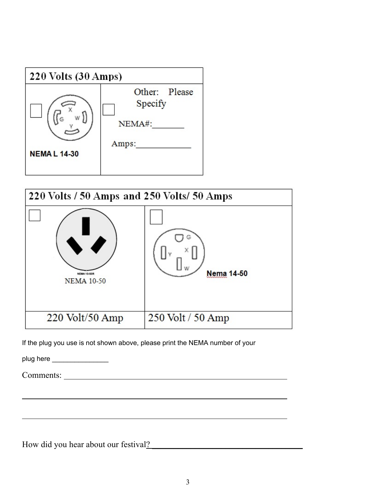



If the plug you use is not shown above, please print the NEMA number of your

plug here \_\_\_\_\_\_\_\_\_\_\_\_\_\_\_\_\_\_\_

Comments:

How did you hear about our festival?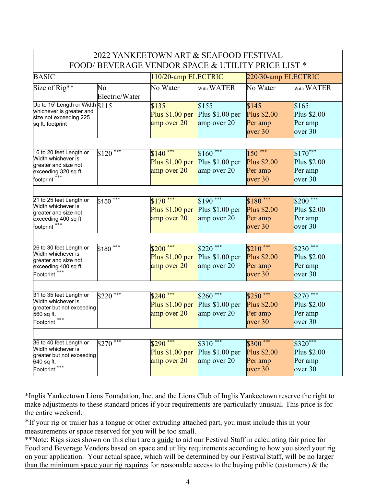| 2022 YANKEETOWN ART & SEAFOOD FESTIVAL                                                                                    |                      |                                               |                                               |                                                        |                                                 |  |  |  |
|---------------------------------------------------------------------------------------------------------------------------|----------------------|-----------------------------------------------|-----------------------------------------------|--------------------------------------------------------|-------------------------------------------------|--|--|--|
| FOOD/BEVERAGE VENDOR SPACE & UTILITY PRICE LIST *                                                                         |                      |                                               |                                               |                                                        |                                                 |  |  |  |
| <b>BASIC</b>                                                                                                              |                      | 110/20-amp ELECTRIC                           |                                               | 220/30-amp ELECTRIC                                    |                                                 |  |  |  |
| Size of Rig**                                                                                                             | No<br>Electric/Water | No Water                                      | With WATER                                    | No Water                                               | With WATER                                      |  |  |  |
| Up to 15' Length or Width S115<br>whichever is greater and<br>size not exceeding 225<br>sq ft. footprint                  |                      | \$135<br>Plus $$1.00$ per<br>amp over 20      | \$155<br>Plus $$1.00$ per<br>amp over 20      | \$145<br><b>Plus \$2.00</b><br>Per amp<br>over 30      | \$165<br>Plus \$2.00<br>Per amp<br>over 30      |  |  |  |
| 16 to 20 feet Length or<br>Width whichever is<br>greater and size not<br>exceeding 320 sq ft.<br>footprint <sup>***</sup> | ***<br>\$120         | $$140$ ***<br>Plus $$1.00$ per<br>amp over 20 | $$160***$<br>Plus $$1.00$ per<br>amp over 20  | $150***$<br><b>Plus \$2.00</b><br>Per amp<br>over 30   | $$170***$<br>Plus \$2.00<br>Per amp<br>over 30  |  |  |  |
| 21 to 25 feet Length or<br>Width whichever is<br>greater and size not<br>exceeding 400 sq ft.<br>footprint <sup>***</sup> | $$150$ ***           | $$170$ ***<br>Plus $$1.00$ per<br>amp over 20 | $$190$ ***<br>Plus \$1.00 per<br>amp over 20  | $$180$ ***<br><b>Plus \$2.00</b><br>Per amp<br>over 30 | $$200***$<br>Plus \$2.00<br>Per amp<br>over 30  |  |  |  |
| 26 to 30 feet Length or<br>Width whichever is<br>greater and size not<br>exceeding 480 sq ft.<br>Footprint <sup>***</sup> | ***<br>\$180         | $$200***$<br>Plus $$1.00$ per<br>amp over 20  | $$220$ ***<br>Plus $$1.00$ per<br>amp over 20 | $$210$ ***<br>Plus \$2.00<br>Per amp<br>over 30        | $$230$ ***<br>Plus \$2.00<br>Per amp<br>over 30 |  |  |  |
| 31 to 35 feet Length or<br>Width whichever is<br>greater but not exceeding<br>560 sq ft.<br>Footprint <sup>***</sup>      | ***<br>\$220         | $$240$ ***<br>Plus $$1.00$ per<br>amp over 20 | $$260$ ***<br>Plus $$1.00$ per<br>amp over 20 | $$250$ ***<br><b>Plus \$2.00</b><br>Per amp<br>over 30 | $$270$ ***<br>Plus \$2.00<br>Per amp<br>over 30 |  |  |  |
| 36 to 40 feet Length or<br>Width whichever is<br>greater but not exceeding<br>640 sq ft.<br>Footprint <sup>***</sup>      | ***<br>\$270         | $$290$ ***<br>Plus $$1.00$ per<br>amp over 20 | $$310$ ***<br>Plus $$1.00$ per<br>amp over 20 | $$300$ ***<br>Plus \$2.00<br>Per amp<br>over 30        | $$320***$<br>Plus \$2.00<br>Per amp<br>over 30  |  |  |  |

\*Inglis Yankeetown Lions Foundation, Inc. and the Lions Club of Inglis Yankeetown reserve the right to make adjustments to these standard prices if your requirements are particularly unusual. This price is for the entire weekend.

\*If your rig or trailer has a tongue or other extruding attached part, you must include this in your measurements or space reserved for you will be too small.

\*\*Note: Rigs sizes shown on this chart are a guide to aid our Festival Staff in calculating fair price for Food and Beverage Vendors based on space and utility requirements according to how you sized your rig on your application. Your actual space, which will be determined by our Festival Staff, will be no larger than the minimum space your rig requires for reasonable access to the buying public (customers) & the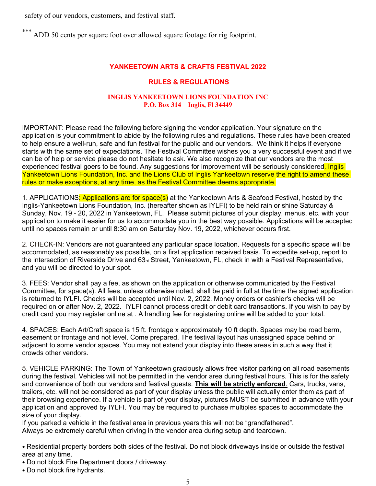safety of our vendors, customers, and festival staff.

\*\*\* ADD 50 cents per square foot over allowed square footage for rig footprint.

### **YANKEETOWN ARTS & CRAFTS FESTIVAL 2022**

### **RULES & REGULATIONS**

#### **INGLIS YANKEETOWN LIONS FOUNDATION INC P.O. Box 314 Inglis, Fl 34449**

IMPORTANT: Please read the following before signing the vendor application. Your signature on the application is your commitment to abide by the following rules and regulations. These rules have been created to help ensure a well-run, safe and fun festival for the public and our vendors. We think it helps if everyone starts with the same set of expectations. The Festival Committee wishes you a very successful event and if we can be of help or service please do not hesitate to ask. We also recognize that our vendors are the most experienced festival goers to be found. Any suggestions for improvement will be seriously considered. Inglis Yankeetown Lions Foundation, Inc. and the Lions Club of Inglis Yankeetown reserve the right to amend these rules or make exceptions, at any time, as the Festival Committee deems appropriate.

1. APPLICATIONS<mark>: Applications are for space(s)</mark> at the Yankeetown Arts & Seafood Festival, hosted by the Inglis-Yankeetown Lions Foundation, Inc. (hereafter shown as IYLFI) to be held rain or shine Saturday & Sunday, Nov. 19 - 20, 2022 in Yankeetown, FL. Please submit pictures of your display, menus, etc. with your application to make it easier for us to accommodate you in the best way possible. Applications will be accepted until no spaces remain or until 8:30 am on Saturday Nov. 19, 2022, whichever occurs first.

2. CHECK-IN: Vendors are not guaranteed any particular space location. Requests for a specific space will be accommodated, as reasonably as possible, on a first application received basis. To expedite set-up, report to the intersection of Riverside Drive and 63rd Street, Yankeetown, FL, check in with a Festival Representative, and you will be directed to your spot.

3. FEES: Vendor shall pay a fee, as shown on the application or otherwise communicated by the Festival Committee, for space(s). All fees, unless otherwise noted, shall be paid in full at the time the signed application is returned to IYLFI. Checks will be accepted until Nov. 2, 2022. Money orders or cashier's checks will be required on or after Nov. 2, 2022. IYLFI cannot process credit or debit card transactions. If you wish to pay by credit card you may register online at . A handling fee for registering online will be added to your total.

4. SPACES: Each Art/Craft space is 15 ft. frontage x approximately 10 ft depth. Spaces may be road berm, easement or frontage and not level. Come prepared. The festival layout has unassigned space behind or adjacent to some vendor spaces. You may not extend your display into these areas in such a way that it crowds other vendors.

5. VEHICLE PARKING: The Town of Yankeetown graciously allows free visitor parking on all road easements during the festival. Vehicles will not be permitted in the vendor area during festival hours. This is for the safety and convenience of both our vendors and festival guests. **This will be strictly enforced**. Cars, trucks, vans, trailers, etc. will not be considered as part of your display unless the public will actually enter them as part of their browsing experience. If a vehicle is part of your display, pictures MUST be submitted in advance with your application and approved by IYLFI. You may be required to purchase multiples spaces to accommodate the size of your display.

If you parked a vehicle in the festival area in previous years this will not be "grandfathered". Always be extremely careful when driving in the vendor area during setup and teardown.

• Residential property borders both sides of the festival. Do not block driveways inside or outside the festival area at any time.

• Do not block Fire Department doors / driveway.

• Do not block fire hydrants.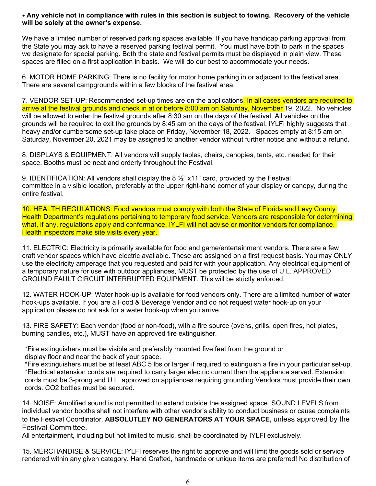#### • **Any vehicle not in compliance with rules in this section is subject to towing. Recovery of the vehicle will be solely at the owner's expense.**

We have a limited number of reserved parking spaces available. If you have handicap parking approval from the State you may ask to have a reserved parking festival permit. You must have both to park in the spaces we designate for special parking. Both the state and festival permits must be displayed in plain view. These spaces are filled on a first application in basis. We will do our best to accommodate your needs.

6. MOTOR HOME PARKING: There is no facility for motor home parking in or adjacent to the festival area. There are several campgrounds within a few blocks of the festival area.

7. VENDOR SET-UP: Recommended set-up times are on the applications. In all cases vendors are required to arrive at the festival grounds and check in at or before 8:00 am on Saturday, November 19, 2022. No vehicles will be allowed to enter the festival grounds after 8:30 am on the days of the festival. All vehicles on the grounds will be required to exit the grounds by 8:45 am on the days of the festival. IYLFI highly suggests that heavy and/or cumbersome set-up take place on Friday, November 18, 2022. Spaces empty at 8:15 am on Saturday, November 20, 2021 may be assigned to another vendor without further notice and without a refund.

8. DISPLAYS & EQUIPMENT: All vendors will supply tables, chairs, canopies, tents, etc. needed for their space. Booths must be neat and orderly throughout the Festival.

9. IDENTIFICATION: All vendors shall display the 8 ½" x11" card, provided by the Festival committee in a visible location, preferably at the upper right-hand corner of your display or canopy, during the entire festival.

10. HEALTH REGULATIONS: Food vendors must comply with both the State of Florida and Levy County Health Department's regulations pertaining to temporary food service. Vendors are responsible for determining what, if any, regulations apply and conformance. IYLFI will not advise or monitor vendors for compliance. Health inspectors make site visits every year.

11. ELECTRIC: Electricity is primarily available for food and game/entertainment vendors. There are a few craft vendor spaces which have electric available. These are assigned on a first request basis. You may ONLY use the electricity amperage that you requested and paid for with your application. Any electrical equipment of a temporary nature for use with outdoor appliances, MUST be protected by the use of U.L. APPROVED GROUND FAULT CIRCUIT INTERRUPTED EQUIPMENT. This will be strictly enforced.

12. WATER HOOK-UP: Water hook-up is available for food vendors only. There are a limited number of water hook-ups available. If you are a Food & Beverage Vendor and do not request water hook-up on your application please do not ask for a water hook-up when you arrive.

13. FIRE SAFETY: Each vendor (food or non-food), with a fire source (ovens, grills, open fires, hot plates, burning candles, etc.), MUST have an approved fire extinguisher.

\*Fire extinguishers must be visible and preferably mounted five feet from the ground or display floor and near the back of your space.

\*Fire extinguishers must be at least ABC 5 lbs or larger if required to extinguish a fire in your particular set-up. \*Electrical extension cords are required to carry larger electric current than the appliance served. Extension cords must be 3-prong and U.L. approved on appliances requiring grounding Vendors must provide their own cords. CO2 bottles must be secured.

14. NOISE: Amplified sound is not permitted to extend outside the assigned space. SOUND LEVELS from individual vendor booths shall not interfere with other vendor's ability to conduct business or cause complaints to the Festival Coordinator. **ABSOLUTLEY NO GENERATORS AT YOUR SPACE,** unless approved by the Festival Committee.

All entertainment, including but not limited to music, shall be coordinated by IYLFI exclusively.

15. MERCHANDISE & SERVICE: IYLFI reserves the right to approve and will limit the goods sold or service rendered within any given category. Hand Crafted, handmade or unique items are preferred! No distribution of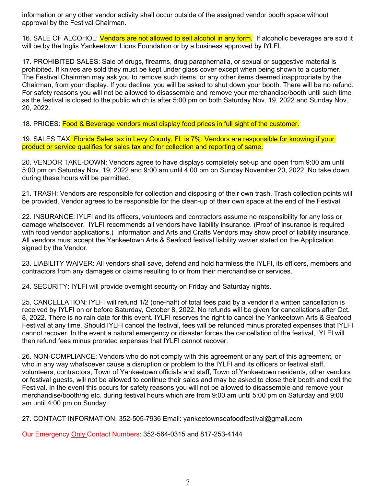information or any other vendor activity shall occur outside of the assigned vendor booth space without approval by the Festival Chairman.

16. SALE OF ALCOHOL: Vendors are not allowed to sell alcohol in any form. If alcoholic beverages are sold it will be by the Inglis Yankeetown Lions Foundation or by a business approved by IYLFI.

17. PROHIBITED SALES: Sale of drugs, firearms, drug paraphernalia, or sexual or suggestive material is prohibited. If knives are sold they must be kept under glass cover except when being shown to a customer. The Festival Chairman may ask you to remove such items, or any other items deemed inappropriate by the Chairman, from your display. If you decline, you will be asked to shut down your booth. There will be no refund. For safety reasons you will not be allowed to disassemble and remove your merchandise/booth until such time as the festival is closed to the public which is after 5:00 pm on both Saturday Nov. 19, 2022 and Sunday Nov. 20, 2022.

18. PRICES: Food & Beverage vendors must display food prices in full sight of the customer.

19. SALES TAX<mark>: Florida Sales tax in Levy County, FL is 7%. Vendors are responsible for knowing if your</mark> product or service qualifies for sales tax and for collection and reporting of same.

20. VENDOR TAKE-DOWN: Vendors agree to have displays completely set-up and open from 9:00 am until 5:00 pm on Saturday Nov. 19, 2022 and 9:00 am until 4:00 pm on Sunday November 20, 2022. No take down during these hours will be permitted.

21. TRASH: Vendors are responsible for collection and disposing of their own trash. Trash collection points will be provided. Vendor agrees to be responsible for the clean-up of their own space at the end of the Festival.

22. INSURANCE: IYLFI and its officers, volunteers and contractors assume no responsibility for any loss or damage whatsoever. IYLFI recommends all vendors have liability insurance. (Proof of insurance is required with food vendor applications.) Information and Arts and Crafts Vendors may show proof of liability insurance. All vendors must accept the Yankeetown Arts & Seafood festival liability wavier stated on the Application signed by the Vendor.

23. LIABILITY WAIVER: All vendors shall save, defend and hold harmless the IYLFI, its officers, members and contractors from any damages or claims resulting to or from their merchandise or services.

24. SECURITY: IYLFI will provide overnight security on Friday and Saturday nights.

25. CANCELLATION: IYLFI will refund 1/2 (one-half) of total fees paid by a vendor if a written cancellation is received by IYLFI on or before Saturday, October 8, 2022. No refunds will be given for cancellations after Oct. 8, 2022. There is no rain date for this event. IYLFI reserves the right to cancel the Yankeetown Arts & Seafood Festival at any time. Should IYLFI cancel the festival, fees will be refunded minus prorated expenses that IYLFI cannot recover. In the event a natural emergency or disaster forces the cancellation of the festival, IYLFI will then refund fees minus prorated expenses that IYLFI cannot recover.

26. NON-COMPLIANCE: Vendors who do not comply with this agreement or any part of this agreement, or who in any way whatsoever cause a disruption or problem to the IYLFI and its officers or festival staff, volunteers, contractors, Town of Yankeetown officials and staff, Town of Yankeetown residents, other vendors or festival guests, will not be allowed to continue their sales and may be asked to close their booth and exit the Festival. In the event this occurs for safety reasons you will not be allowed to disassemble and remove your merchandise/booth/rig etc. during festival hours which are from 9:00 am until 5:00 pm on Saturday and 9:00 am until 4:00 pm on Sunday.

27. CONTACT INFORMATION: 352-505-7936 Email: yankeetownseafoodfestival@gmail.com

Our Emergency Only Contact Numbers: 352-564-0315 and 817-253-4144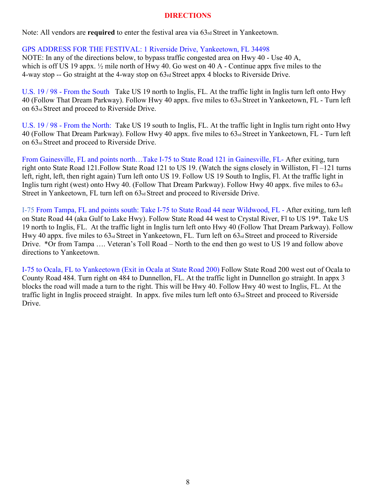### **DIRECTIONS**

Note: All vendors are **required** to enter the festival area via 63rd Street in Yankeetown.

### GPS ADDRESS FOR THE FESTIVAL: 1 Riverside Drive, Yankeetown, FL 34498

NOTE: In any of the directions below, to bypass traffic congested area on Hwy 40 - Use 40 A, which is off US 19 appx. ½ mile north of Hwy 40. Go west on 40 A - Continue appx five miles to the 4-way stop -- Go straight at the 4-way stop on 63rd Street appx 4 blocks to Riverside Drive.

U.S. 19 / 98 - From the South Take US 19 north to Inglis, FL. At the traffic light in Inglis turn left onto Hwy 40 (Follow That Dream Parkway). Follow Hwy 40 appx. five miles to 63rd Street in Yankeetown, FL - Turn left on 63rd Street and proceed to Riverside Drive.

U.S. 19 / 98 - From the North: Take US 19 south to Inglis, FL. At the traffic light in Inglis turn right onto Hwy 40 (Follow That Dream Parkway). Follow Hwy 40 appx. five miles to 63rd Street in Yankeetown, FL - Turn left on 63rd Street and proceed to Riverside Drive.

From Gainesville, FL and points north…Take I-75 to State Road 121 in Gainesville, FL- After exiting, turn right onto State Road 121.Follow State Road 121 to US 19. (Watch the signs closely in Williston, Fl –121 turns left, right, left, then right again) Turn left onto US 19. Follow US 19 South to Inglis, Fl. At the traffic light in Inglis turn right (west) onto Hwy 40. (Follow That Dream Parkway). Follow Hwy 40 appx. five miles to 63rd Street in Yankeetown, FL turn left on  $63<sub>rd</sub>$  Street and proceed to Riverside Drive.

I-75 From Tampa, FL and points south: Take I-75 to State Road 44 near Wildwood, FL - After exiting, turn left on State Road 44 (aka Gulf to Lake Hwy). Follow State Road 44 west to Crystal River, Fl to US 19\*. Take US 19 north to Inglis, FL. At the traffic light in Inglis turn left onto Hwy 40 (Follow That Dream Parkway). Follow Hwy 40 appx. five miles to 63<sup>rd</sup> Street in Yankeetown, FL. Turn left on 63<sup>rd</sup> Street and proceed to Riverside Drive. \*Or from Tampa …. Veteran's Toll Road – North to the end then go west to US 19 and follow above directions to Yankeetown.

I-75 to Ocala, FL to Yankeetown (Exit in Ocala at State Road 200) Follow State Road 200 west out of Ocala to County Road 484. Turn right on 484 to Dunnellon, FL. At the traffic light in Dunnellon go straight. In appx 3 blocks the road will made a turn to the right. This will be Hwy 40. Follow Hwy 40 west to Inglis, FL. At the traffic light in Inglis proceed straight. In appx. five miles turn left onto 63<sup>rd</sup> Street and proceed to Riverside Drive.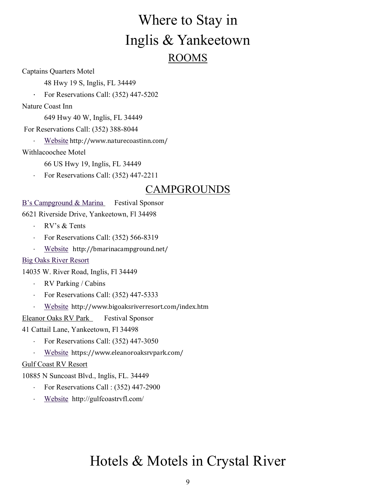# Where to Stay in Inglis & Yankeetown ROOMS

Captains Quarters Motel

- 48 Hwy 19 S, Inglis, FL 34449
- · For Reservations Call: (352) 447-5202

Nature Coast Inn

649 Hwy 40 W, Inglis, FL 34449

For Reservations Call: (352) 388-8044

Website http://www.naturecoastinn.com/

Withlacoochee Motel

66 US Hwy 19, Inglis, FL 34449

· For Reservations Call: (352) 447-2211

### CAMPGROUNDS

### B's Campground & Marina Festival Sponsor

6621 Riverside Drive, Yankeetown, Fl 34498

- · RV's & Tents
- · For Reservations Call: (352) 566-8319
- Website http://bmarinacampground.net/

### Big Oaks River Resort

14035 W. River Road, Inglis, Fl 34449

- · RV Parking / Cabins
- For Reservations Call: (352) 447-5333
- Website http://www.bigoaksriverresort.com/index.htm

Eleanor Oaks RV Park Festival Sponsor

41 Cattail Lane, Yankeetown, Fl 34498

- · For Reservations Call: (352) 447-3050
- Website https://www.eleanoroaksrvpark.com/

### Gulf Coast RV Resort

10885 N Suncoast Blvd., Inglis, FL. 34449

- For Reservations Call : (352) 447-2900
- Website http://gulfcoastrvfl.com/

## Hotels & Motels in Crystal River